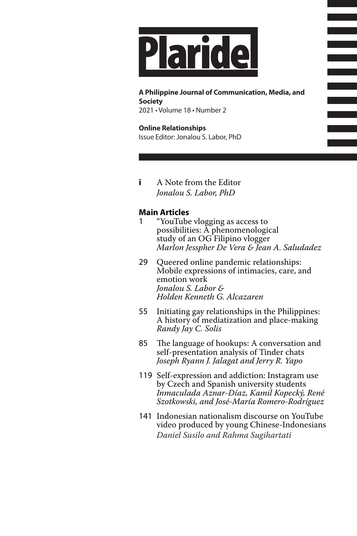

**A Philippine Journal of Communication, Media, and Society** 2021 • Volume 18 • Number 2

**Online Relationships** Issue Editor: Jonalou S. Labor, PhD

**i** A Note from the Editor *Jonalou S. Labor, PhD*

## **Main Articles**

- 1 "YouTube vlogging as access to possibilities: A phenomenological study of an OG Filipino vlogger *Marlon Jesspher De Vera & Jean A. Saludadez*
- 29 Queered online pandemic relationships: Mobile expressions of intimacies, care, and emotion work *Jonalou S. Labor & Holden Kenneth G. Alcazaren*
- 55 Initiating gay relationships in the Philippines: A history of mediatization and place-making *Randy Jay C. Solis*
- 85 The language of hookups: A conversation and self-presentation analysis of Tinder chats *Joseph Ryann J. Jalagat and Jerry R. Yapo*
- 119 Self-expression and addiction: Instagram use by Czech and Spanish university students *Inmaculada Aznar-Díaz, Kamil Kopecký, René Szotkowski, and José-María Romero-Rodríguez*
- 141 Indonesian nationalism discourse on YouTube video produced by young Chinese-Indonesians *Daniel Susilo and Rahma Sugihartati*